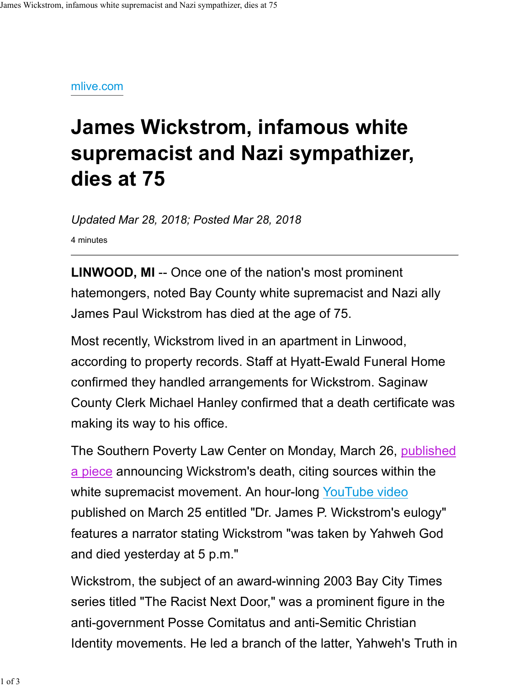## mlive.com

## James Wickstrom, infamous white supremacist and Nazi sympathizer, dies at 75

Updated Mar 28, 2018; Posted Mar 28, 2018

4 minutes

LINWOOD, MI -- Once one of the nation's most prominent hatemongers, noted Bay County white supremacist and Nazi ally James Paul Wickstrom has died at the age of 75.

Most recently, Wickstrom lived in an apartment in Linwood, according to property records. Staff at Hyatt-Ewald Funeral Home confirmed they handled arrangements for Wickstrom. Saginaw County Clerk Michael Hanley confirmed that a death certificate was making its way to his office.

The Southern Poverty Law Center on Monday, March 26, published a piece announcing Wickstrom's death, citing sources within the white supremacist movement. An hour-long YouTube video published on March 25 entitled "Dr. James P. Wickstrom's eulogy" features a narrator stating Wickstrom "was taken by Yahweh God and died yesterday at 5 p.m."

Wickstrom, the subject of an award-winning 2003 Bay City Times series titled "The Racist Next Door," was a prominent figure in the anti-government Posse Comitatus and anti-Semitic Christian Identity movements. He led a branch of the latter, Yahweh's Truth in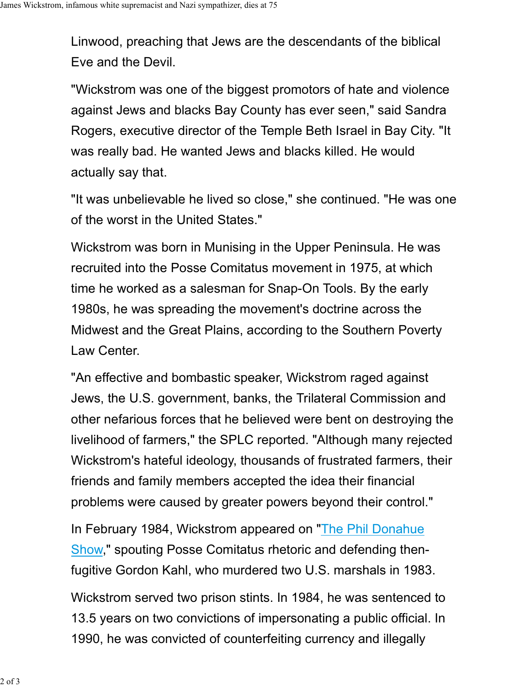Linwood, preaching that Jews are the descendants of the biblical Eve and the Devil.

"Wickstrom was one of the biggest promotors of hate and violence against Jews and blacks Bay County has ever seen," said Sandra Rogers, executive director of the Temple Beth Israel in Bay City. "It was really bad. He wanted Jews and blacks killed. He would actually say that.

"It was unbelievable he lived so close," she continued. "He was one of the worst in the United States."

Wickstrom was born in Munising in the Upper Peninsula. He was recruited into the Posse Comitatus movement in 1975, at which time he worked as a salesman for Snap-On Tools. By the early 1980s, he was spreading the movement's doctrine across the Midwest and the Great Plains, according to the Southern Poverty Law Center.

"An effective and bombastic speaker, Wickstrom raged against Jews, the U.S. government, banks, the Trilateral Commission and other nefarious forces that he believed were bent on destroying the livelihood of farmers," the SPLC reported. "Although many rejected Wickstrom's hateful ideology, thousands of frustrated farmers, their friends and family members accepted the idea their financial problems were caused by greater powers beyond their control."

In February 1984, Wickstrom appeared on "The Phil Donahue Show," spouting Posse Comitatus rhetoric and defending thenfugitive Gordon Kahl, who murdered two U.S. marshals in 1983.

Wickstrom served two prison stints. In 1984, he was sentenced to 13.5 years on two convictions of impersonating a public official. In 1990, he was convicted of counterfeiting currency and illegally